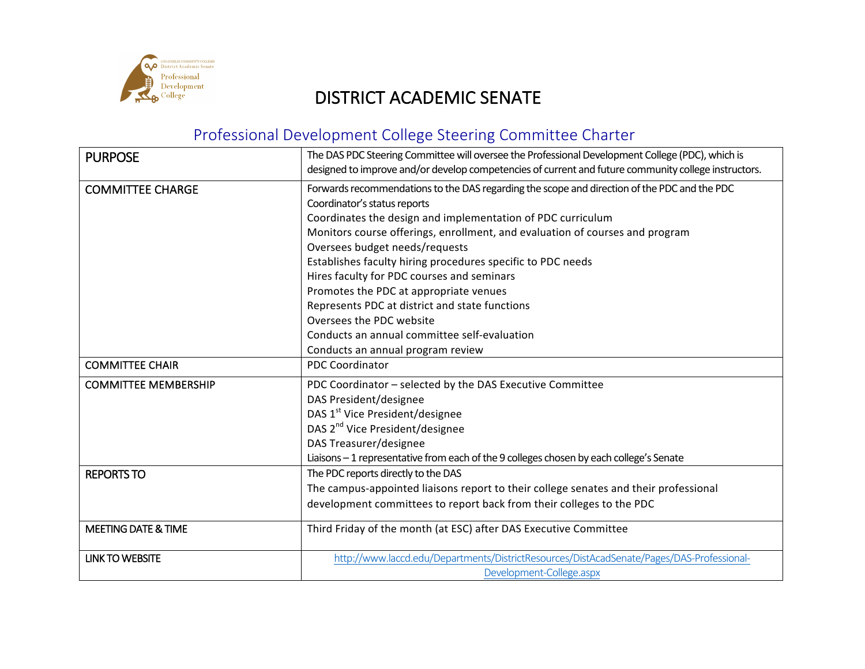

## DISTRICT ACADEMIC SENATE

## Professional Development College Steering Committee Charter

| <b>PURPOSE</b>                 | The DAS PDC Steering Committee will oversee the Professional Development College (PDC), which is<br>designed to improve and/or develop competencies of current and future community college instructors.                                                                                                                                                                                                                                                                                                               |
|--------------------------------|------------------------------------------------------------------------------------------------------------------------------------------------------------------------------------------------------------------------------------------------------------------------------------------------------------------------------------------------------------------------------------------------------------------------------------------------------------------------------------------------------------------------|
| <b>COMMITTEE CHARGE</b>        | Forwards recommendations to the DAS regarding the scope and direction of the PDC and the PDC<br>Coordinator's status reports<br>Coordinates the design and implementation of PDC curriculum<br>Monitors course offerings, enrollment, and evaluation of courses and program<br>Oversees budget needs/requests<br>Establishes faculty hiring procedures specific to PDC needs<br>Hires faculty for PDC courses and seminars<br>Promotes the PDC at appropriate venues<br>Represents PDC at district and state functions |
|                                | Oversees the PDC website<br>Conducts an annual committee self-evaluation<br>Conducts an annual program review                                                                                                                                                                                                                                                                                                                                                                                                          |
| <b>COMMITTEE CHAIR</b>         | <b>PDC Coordinator</b>                                                                                                                                                                                                                                                                                                                                                                                                                                                                                                 |
| <b>COMMITTEE MEMBERSHIP</b>    | PDC Coordinator - selected by the DAS Executive Committee<br>DAS President/designee<br>DAS 1 <sup>st</sup> Vice President/designee<br>DAS 2 <sup>nd</sup> Vice President/designee<br>DAS Treasurer/designee<br>Liaisons - 1 representative from each of the 9 colleges chosen by each college's Senate                                                                                                                                                                                                                 |
| <b>REPORTS TO</b>              | The PDC reports directly to the DAS<br>The campus-appointed liaisons report to their college senates and their professional<br>development committees to report back from their colleges to the PDC                                                                                                                                                                                                                                                                                                                    |
| <b>MEETING DATE &amp; TIME</b> | Third Friday of the month (at ESC) after DAS Executive Committee                                                                                                                                                                                                                                                                                                                                                                                                                                                       |
| <b>LINK TO WEBSITE</b>         | http://www.laccd.edu/Departments/DistrictResources/DistAcadSenate/Pages/DAS-Professional-<br>Development-College.aspx                                                                                                                                                                                                                                                                                                                                                                                                  |